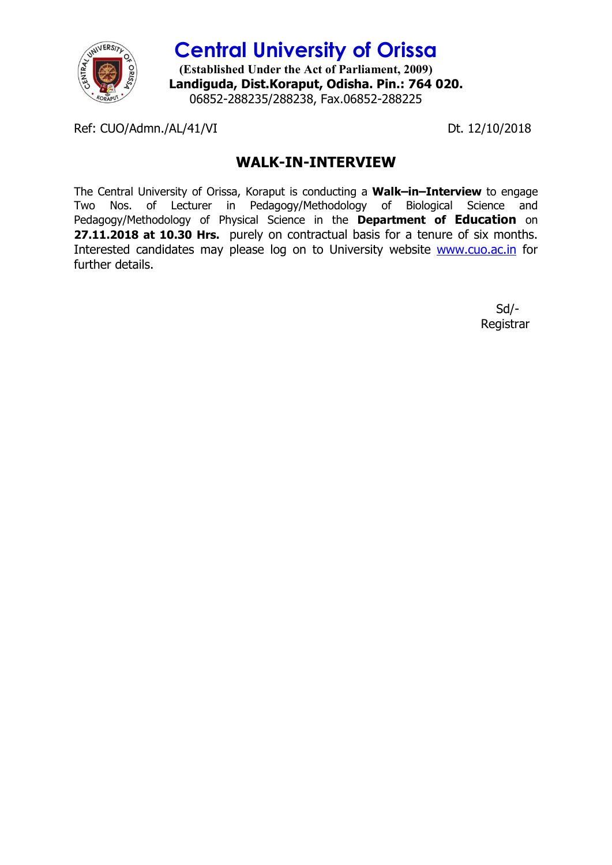

**Central University of Orissa (Established Under the Act of Parliament, 2009) Landiguda, Dist.Koraput, Odisha. Pin.: 764 020.** 06852-288235/288238, Fax.06852-288225

Ref: CUO/Admn./AL/41/VI Dt. 12/10/2018

## **WALK-IN-INTERVIEW**

The Central University of Orissa, Koraput is conducting a **Walk–in–Interview** to engage Two Nos. of Lecturer in Pedagogy/Methodology of Biological Science and Pedagogy/Methodology of Physical Science in the **Department of Education** on **27.11.2018 at 10.30 Hrs.** purely on contractual basis for a tenure of six months. Interested candidates may please log on to University website www.cuo.ac.in for further details.

> Sd/- Registrar